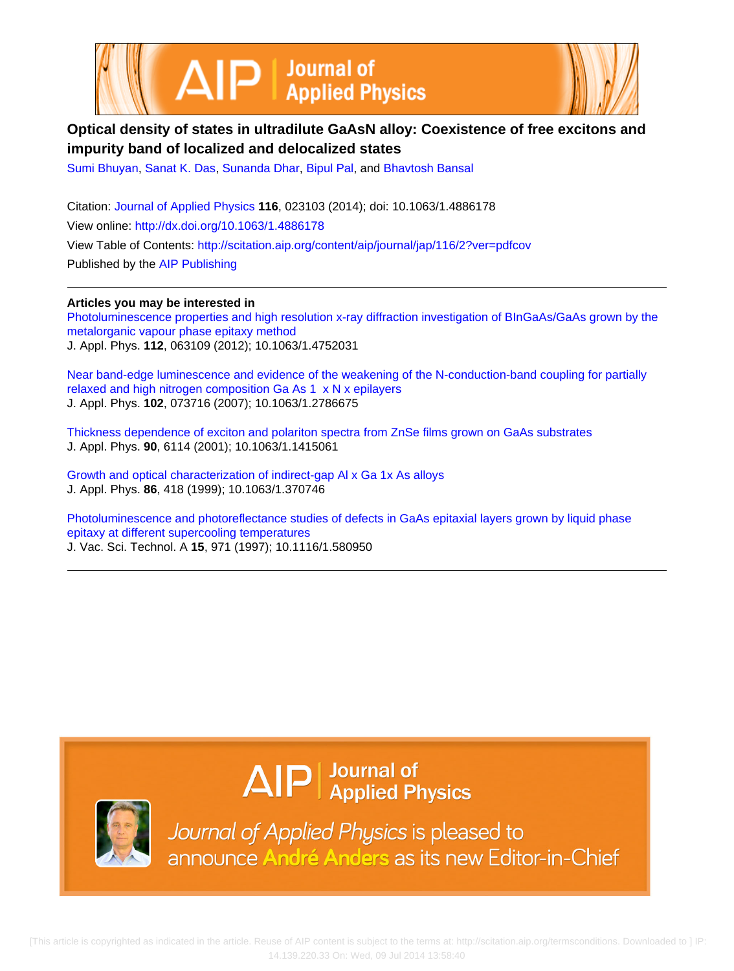



## **Optical density of states in ultradilute GaAsN alloy: Coexistence of free excitons and impurity band of localized and delocalized states**

[Sumi Bhuyan](http://scitation.aip.org/search?value1=Sumi+Bhuyan&option1=author), [Sanat K. Das,](http://scitation.aip.org/search?value1=Sanat+K.+Das&option1=author) [Sunanda Dhar,](http://scitation.aip.org/search?value1=Sunanda+Dhar&option1=author) [Bipul Pal](http://scitation.aip.org/search?value1=Bipul+Pal&option1=author), and [Bhavtosh Bansal](http://scitation.aip.org/search?value1=Bhavtosh+Bansal&option1=author)

Citation: [Journal of Applied Physics](http://scitation.aip.org/content/aip/journal/jap?ver=pdfcov) **116**, 023103 (2014); doi: 10.1063/1.4886178 View online: <http://dx.doi.org/10.1063/1.4886178> View Table of Contents: <http://scitation.aip.org/content/aip/journal/jap/116/2?ver=pdfcov> Published by the [AIP Publishing](http://scitation.aip.org/content/aip?ver=pdfcov)

**Articles you may be interested in**

[Photoluminescence properties and high resolution x-ray diffraction investigation of BInGaAs/GaAs grown by the](http://scitation.aip.org/content/aip/journal/jap/112/6/10.1063/1.4752031?ver=pdfcov) [metalorganic vapour phase epitaxy method](http://scitation.aip.org/content/aip/journal/jap/112/6/10.1063/1.4752031?ver=pdfcov) J. Appl. Phys. **112**, 063109 (2012); 10.1063/1.4752031

[Near band-edge luminescence and evidence of the weakening of the N-conduction-band coupling for partially](http://scitation.aip.org/content/aip/journal/jap/102/7/10.1063/1.2786675?ver=pdfcov) [relaxed and high nitrogen composition Ga As 1 x N x epilayers](http://scitation.aip.org/content/aip/journal/jap/102/7/10.1063/1.2786675?ver=pdfcov) J. Appl. Phys. **102**, 073716 (2007); 10.1063/1.2786675

[Thickness dependence of exciton and polariton spectra from ZnSe films grown on GaAs substrates](http://scitation.aip.org/content/aip/journal/jap/90/12/10.1063/1.1415061?ver=pdfcov) J. Appl. Phys. **90**, 6114 (2001); 10.1063/1.1415061

[Growth and optical characterization of indirect-gap Al x Ga 1x As alloys](http://scitation.aip.org/content/aip/journal/jap/86/1/10.1063/1.370746?ver=pdfcov) J. Appl. Phys. **86**, 418 (1999); 10.1063/1.370746

[Photoluminescence and photoreflectance studies of defects in GaAs epitaxial layers grown by liquid phase](http://scitation.aip.org/content/avs/journal/jvsta/15/3/10.1116/1.580950?ver=pdfcov) [epitaxy at different supercooling temperatures](http://scitation.aip.org/content/avs/journal/jvsta/15/3/10.1116/1.580950?ver=pdfcov) J. Vac. Sci. Technol. A **15**, 971 (1997); 10.1116/1.580950

## $\Delta$   $\vert P \vert$  Journal of Applied Physics



Journal of Applied Physics is pleased to announce André Anders as its new Editor-in-Chief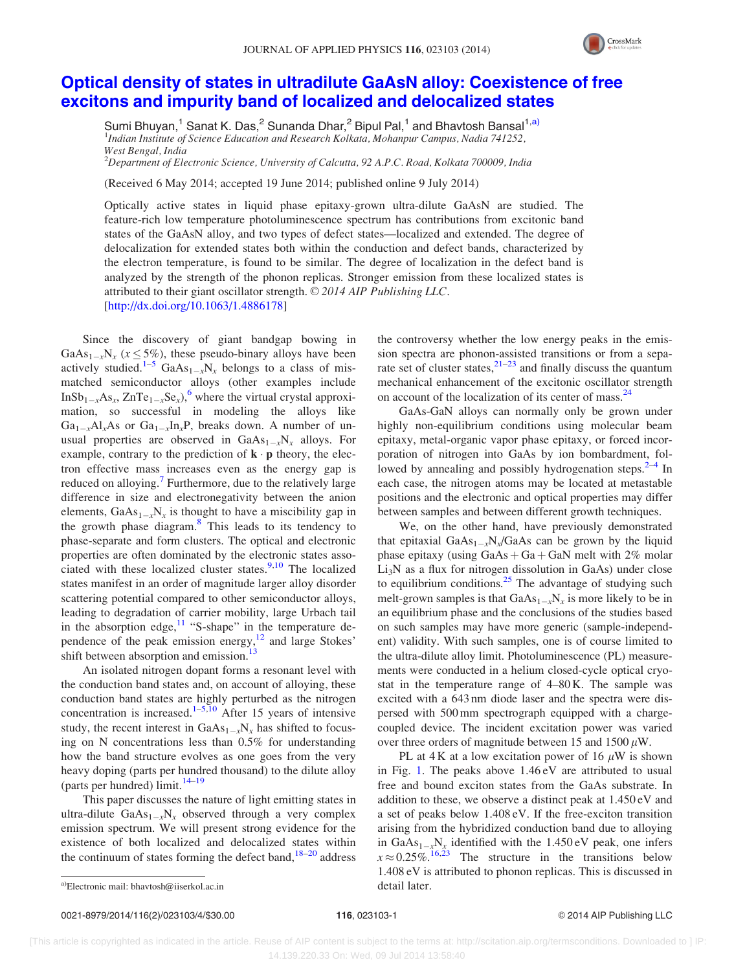

## [Optical density of states in ultradilute GaAsN alloy: Coexistence of free](http://dx.doi.org/10.1063/1.4886178) [excitons and impurity band of localized and delocalized states](http://dx.doi.org/10.1063/1.4886178)

Sumi Bhuyan,<sup>1</sup> Sanat K. Das,<sup>2</sup> Sunanda Dhar,<sup>2</sup> Bipul Pal,<sup>1</sup> and Bhavtosh Bansal<sup>1,a)</sup> <sup>1</sup>Indian Institute of Science Education and Research Kolkata, Mohanpur Campus, Nadia 741252, West Bengal, India

 $^2$ Department of Electronic Science, University of Calcutta, 92 A.P.C. Road, Kolkata 700009, India

(Received 6 May 2014; accepted 19 June 2014; published online 9 July 2014)

Optically active states in liquid phase epitaxy-grown ultra-dilute GaAsN are studied. The feature-rich low temperature photoluminescence spectrum has contributions from excitonic band states of the GaAsN alloy, and two types of defect states—localized and extended. The degree of delocalization for extended states both within the conduction and defect bands, characterized by the electron temperature, is found to be similar. The degree of localization in the defect band is analyzed by the strength of the phonon replicas. Stronger emission from these localized states is attributed to their giant oscillator strength. © 2014 AIP Publishing LLC. [\[http://dx.doi.org/10.1063/1.4886178](http://dx.doi.org/10.1063/1.4886178)]

Since the discovery of giant bandgap bowing in GaAs<sub>1-x</sub>N<sub>x</sub> ( $x \le 5\%$ ), these pseudo-binary alloys have been actively studied.<sup>[1–5](#page-4-0)</sup> GaAs<sub>1-x</sub>N<sub>x</sub> belongs to a class of mismatched semiconductor alloys (other examples include InSb<sub>1-x</sub>As<sub>x</sub>, ZnTe<sub>1-x</sub>Se<sub>x</sub>),<sup>[6](#page-4-0)</sup> where the virtual crystal approximation, so successful in modeling the alloys like  $Ga_{1-x}Al_xAs$  or  $Ga_{1-x}In_xP$ , breaks down. A number of unusual properties are observed in  $GaAs_{1-x}N_x$  alloys. For example, contrary to the prediction of  $\mathbf{k} \cdot \mathbf{p}$  theory, the electron effective mass increases even as the energy gap is reduced on alloying.<sup>[7](#page-4-0)</sup> Furthermore, due to the relatively large difference in size and electronegativity between the anion elements,  $GaAs_{1-x}N_x$  is thought to have a miscibility gap in the growth phase diagram. $8$  This leads to its tendency to phase-separate and form clusters. The optical and electronic properties are often dominated by the electronic states associated with these localized cluster states. $9,10$  The localized states manifest in an order of magnitude larger alloy disorder scattering potential compared to other semiconductor alloys, leading to degradation of carrier mobility, large Urbach tail in the absorption edge, $11$  "S-shape" in the temperature dependence of the peak emission energy, $12$  and large Stokes' shift between absorption and emission.<sup>13</sup>

An isolated nitrogen dopant forms a resonant level with the conduction band states and, on account of alloying, these conduction band states are highly perturbed as the nitrogen concentration is increased.<sup>1–[5,10](#page-4-0)</sup> After 15 years of intensive study, the recent interest in  $GaAs_{1-x}N_x$  has shifted to focusing on N concentrations less than 0.5% for understanding how the band structure evolves as one goes from the very heavy doping (parts per hundred thousand) to the dilute alloy (parts per hundred) limit. $14-19$ 

This paper discusses the nature of light emitting states in ultra-dilute  $GaAs_{1-x}N_x$  observed through a very complex emission spectrum. We will present strong evidence for the existence of both localized and delocalized states within the continuum of states forming the defect band, $18-20$  $18-20$  $18-20$  address the controversy whether the low energy peaks in the emission spectra are phonon-assisted transitions or from a separate set of cluster states,  $21-23$  and finally discuss the quantum mechanical enhancement of the excitonic oscillator strength on account of the localization of its center of mass.<sup>[24](#page-4-0)</sup>

GaAs-GaN alloys can normally only be grown under highly non-equilibrium conditions using molecular beam epitaxy, metal-organic vapor phase epitaxy, or forced incorporation of nitrogen into GaAs by ion bombardment, followed by annealing and possibly hydrogenation steps. $2-4$  In each case, the nitrogen atoms may be located at metastable positions and the electronic and optical properties may differ between samples and between different growth techniques.

We, on the other hand, have previously demonstrated that epitaxial  $GaAs_{1-x}N_x/GaAs$  can be grown by the liquid phase epitaxy (using  $GaAs + Ga + GaN$  melt with 2% molar  $Li<sub>3</sub>N$  as a flux for nitrogen dissolution in GaAs) under close to equilibrium conditions. $25$  The advantage of studying such melt-grown samples is that  $GaAs_{1-x}N_x$  is more likely to be in an equilibrium phase and the conclusions of the studies based on such samples may have more generic (sample-independent) validity. With such samples, one is of course limited to the ultra-dilute alloy limit. Photoluminescence (PL) measurements were conducted in a helium closed-cycle optical cryostat in the temperature range of 4–80 K. The sample was excited with a 643 nm diode laser and the spectra were dispersed with 500 mm spectrograph equipped with a chargecoupled device. The incident excitation power was varied over three orders of magnitude between 15 and 1500  $\mu$ W.

PL at 4 K at a low excitation power of 16  $\mu$ W is shown in Fig. [1](#page-2-0). The peaks above 1.46 eV are attributed to usual free and bound exciton states from the GaAs substrate. In addition to these, we observe a distinct peak at 1.450 eV and a set of peaks below 1.408 eV. If the free-exciton transition arising from the hybridized conduction band due to alloying in GaAs<sub>1-x</sub>N<sub>x</sub> identified with the 1.450 eV peak, one infers  $x \approx 0.25\%$ .<sup>[16,23](#page-4-0)</sup> The structure in the transitions below 1.408 eV is attributed to phonon replicas. This is discussed in

a)Electronic mail: [bhavtosh@iiserkol.ac.in](mailto:bhavtosh@iiserkol.ac.in) detail later.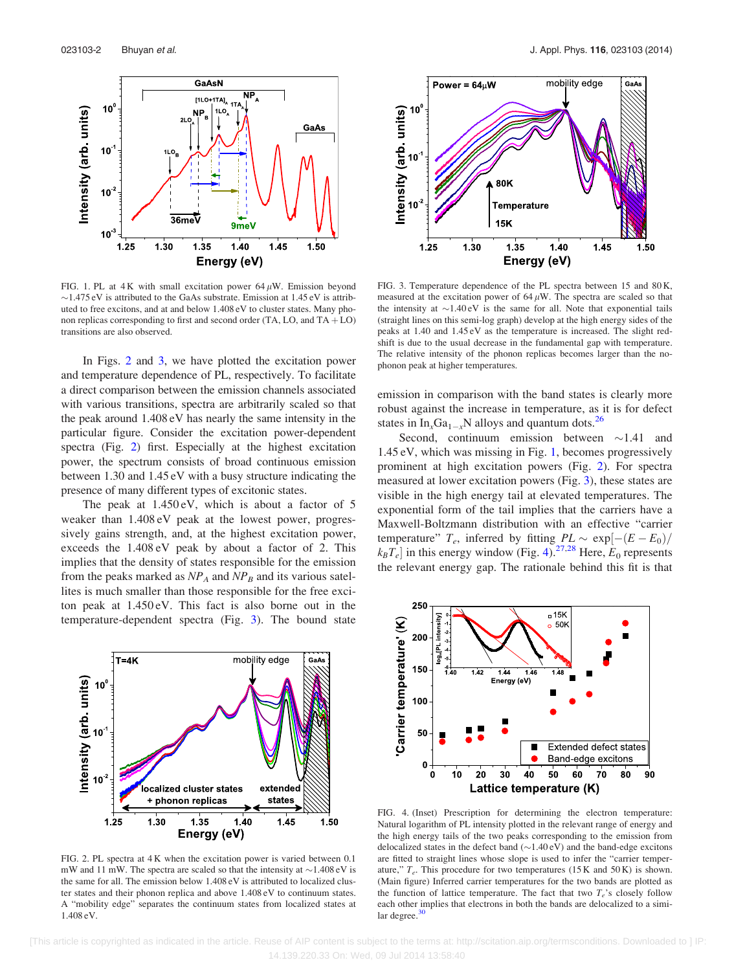<span id="page-2-0"></span>

FIG. 1. PL at  $4K$  with small excitation power  $64 \mu W$ . Emission beyond  $\sim$ 1.475 eV is attributed to the GaAs substrate. Emission at 1.45 eV is attributed to free excitons, and at and below 1.408 eV to cluster states. Many phonon replicas corresponding to first and second order  $(TA, LO, and TA + LO)$ transitions are also observed.

In Figs. 2 and 3, we have plotted the excitation power and temperature dependence of PL, respectively. To facilitate a direct comparison between the emission channels associated with various transitions, spectra are arbitrarily scaled so that the peak around 1.408 eV has nearly the same intensity in the particular figure. Consider the excitation power-dependent spectra (Fig. 2) first. Especially at the highest excitation power, the spectrum consists of broad continuous emission between 1.30 and 1.45 eV with a busy structure indicating the presence of many different types of excitonic states.

The peak at 1.450 eV, which is about a factor of 5 weaker than 1.408 eV peak at the lowest power, progressively gains strength, and, at the highest excitation power, exceeds the 1.408 eV peak by about a factor of 2. This implies that the density of states responsible for the emission from the peaks marked as  $NP_A$  and  $NP_B$  and its various satellites is much smaller than those responsible for the free exciton peak at 1.450 eV. This fact is also borne out in the temperature-dependent spectra (Fig. 3). The bound state



FIG. 2. PL spectra at 4 K when the excitation power is varied between 0.1 mW and 11 mW. The spectra are scaled so that the intensity at  $\sim$ 1.408 eV is the same for all. The emission below 1.408 eV is attributed to localized cluster states and their phonon replica and above 1.408 eV to continuum states. A "mobility edge" separates the continuum states from localized states at 1.408 eV.



FIG. 3. Temperature dependence of the PL spectra between 15 and 80 K, measured at the excitation power of  $64 \mu$ W. The spectra are scaled so that the intensity at  $\sim$ 1.40 eV is the same for all. Note that exponential tails (straight lines on this semi-log graph) develop at the high energy sides of the peaks at 1.40 and 1.45 eV as the temperature is increased. The slight redshift is due to the usual decrease in the fundamental gap with temperature. The relative intensity of the phonon replicas becomes larger than the nophonon peak at higher temperatures.

emission in comparison with the band states is clearly more robust against the increase in temperature, as it is for defect states in  $In_xGa_{1-x}N$  alloys and quantum dots.<sup>26</sup>

Second, continuum emission between  $\sim$ 1.41 and 1.45 eV, which was missing in Fig. 1, becomes progressively prominent at high excitation powers (Fig. 2). For spectra measured at lower excitation powers (Fig. 3), these states are visible in the high energy tail at elevated temperatures. The exponential form of the tail implies that the carriers have a Maxwell-Boltzmann distribution with an effective "carrier temperature"  $T_e$ , inferred by fitting  $PL \sim \exp[-(E - E_0)/\pi]$  $k_B T_e$  in this energy window (Fig. 4).<sup>[27,28](#page-4-0)</sup> Here,  $E_0$  represents the relevant energy gap. The rationale behind this fit is that



FIG. 4. (Inset) Prescription for determining the electron temperature: Natural logarithm of PL intensity plotted in the relevant range of energy and the high energy tails of the two peaks corresponding to the emission from delocalized states in the defect band  $(\sim 1.40 \text{ eV})$  and the band-edge excitons are fitted to straight lines whose slope is used to infer the "carrier temperature,"  $T_e$ . This procedure for two temperatures (15 K and 50 K) is shown. (Main figure) Inferred carrier temperatures for the two bands are plotted as the function of lattice temperature. The fact that two  $T_e$ 's closely follow each other implies that electrons in both the bands are delocalized to a similar degree. $30$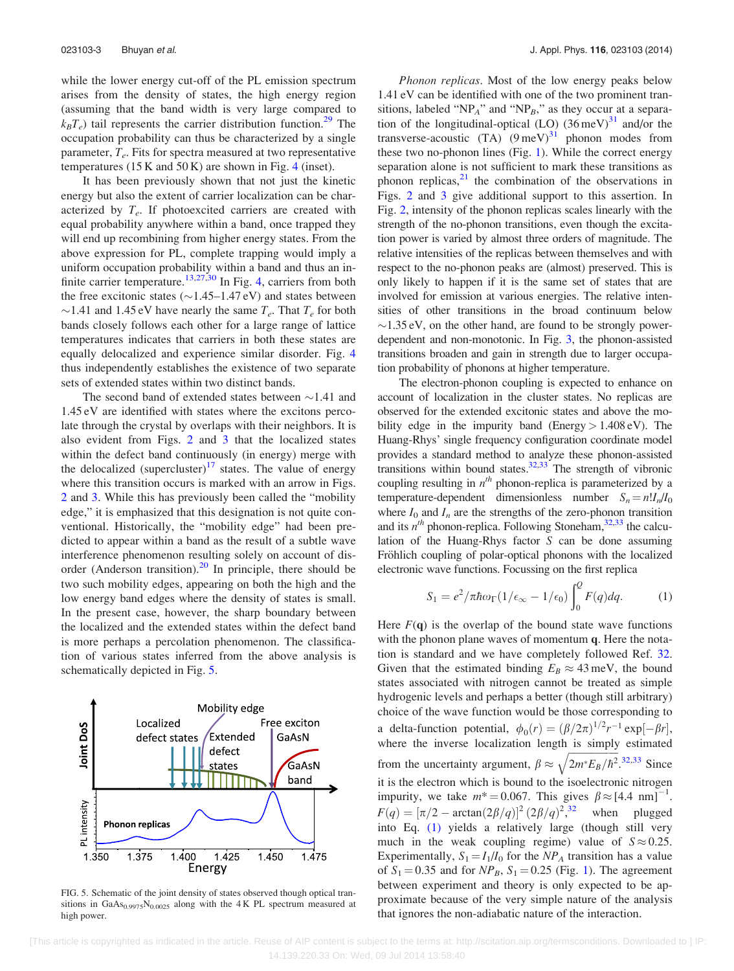while the lower energy cut-off of the PL emission spectrum arises from the density of states, the high energy region (assuming that the band width is very large compared to  $k_B T_e$ ) tail represents the carrier distribution function.<sup>[29](#page-4-0)</sup> The occupation probability can thus be characterized by a single parameter,  $T_e$ . Fits for spectra measured at two representative temperatures  $(15 K and 50 K)$  are shown in Fig. [4](#page-2-0) (inset).

It has been previously shown that not just the kinetic energy but also the extent of carrier localization can be characterized by  $T_e$ . If photoexcited carriers are created with equal probability anywhere within a band, once trapped they will end up recombining from higher energy states. From the above expression for PL, complete trapping would imply a uniform occupation probability within a band and thus an in-finite carrier temperature.<sup>[13,27,30](#page-4-0)</sup> In Fig. [4](#page-2-0), carriers from both the free excitonic states  $(\sim1.45-1.47 \text{ eV})$  and states between  $\sim$ 1.41 and 1.45 eV have nearly the same  $T_e$ . That  $T_e$  for both bands closely follows each other for a large range of lattice temperatures indicates that carriers in both these states are equally delocalized and experience similar disorder. Fig. [4](#page-2-0) thus independently establishes the existence of two separate sets of extended states within two distinct bands.

The second band of extended states between  $\sim$ 1.41 and 1.45 eV are identified with states where the excitons percolate through the crystal by overlaps with their neighbors. It is also evident from Figs. [2](#page-2-0) and [3](#page-2-0) that the localized states within the defect band continuously (in energy) merge with the delocalized (supercluster) $17$  states. The value of energy where this transition occurs is marked with an arrow in Figs. [2](#page-2-0) and [3.](#page-2-0) While this has previously been called the "mobility edge," it is emphasized that this designation is not quite conventional. Historically, the "mobility edge" had been predicted to appear within a band as the result of a subtle wave interference phenomenon resulting solely on account of disorder (Anderson transition). $^{20}$  $^{20}$  $^{20}$  In principle, there should be two such mobility edges, appearing on both the high and the low energy band edges where the density of states is small. In the present case, however, the sharp boundary between the localized and the extended states within the defect band is more perhaps a percolation phenomenon. The classification of various states inferred from the above analysis is schematically depicted in Fig. 5.



FIG. 5. Schematic of the joint density of states observed though optical transitions in GaAs<sub>0.9975</sub>N<sub>0.0025</sub> along with the 4K PL spectrum measured at high power.

Phonon replicas. Most of the low energy peaks below 1.41 eV can be identified with one of the two prominent transitions, labeled "NP<sub>A</sub>" and "NP<sub>B</sub>," as they occur at a separation of the longitudinal-optical (LO)  $(36 \,\text{meV})^{31}$  $(36 \,\text{meV})^{31}$  $(36 \,\text{meV})^{31}$  and/or the transverse-acoustic  $(TA)$  (9 meV)<sup>[31](#page-4-0)</sup> phonon modes from these two no-phonon lines (Fig. [1\)](#page-2-0). While the correct energy separation alone is not sufficient to mark these transitions as phonon replicas, $2<sup>1</sup>$  the combination of the observations in Figs. [2](#page-2-0) and [3](#page-2-0) give additional support to this assertion. In Fig. [2,](#page-2-0) intensity of the phonon replicas scales linearly with the strength of the no-phonon transitions, even though the excitation power is varied by almost three orders of magnitude. The relative intensities of the replicas between themselves and with respect to the no-phonon peaks are (almost) preserved. This is only likely to happen if it is the same set of states that are involved for emission at various energies. The relative intensities of other transitions in the broad continuum below  $\sim$ 1.35 eV, on the other hand, are found to be strongly powerdependent and non-monotonic. In Fig. [3](#page-2-0), the phonon-assisted transitions broaden and gain in strength due to larger occupation probability of phonons at higher temperature.

The electron-phonon coupling is expected to enhance on account of localization in the cluster states. No replicas are observed for the extended excitonic states and above the mobility edge in the impurity band (Energy  $> 1.408 \text{ eV}$ ). The Huang-Rhys' single frequency configuration coordinate model provides a standard method to analyze these phonon-assisted transitions within bound states. $32,33$  $32,33$  The strength of vibronic coupling resulting in  $n<sup>th</sup>$  phonon-replica is parameterized by a temperature-dependent dimensionless number  $S_n = n! I_n/I_0$ where  $I_0$  and  $I_n$  are the strengths of the zero-phonon transition and its  $n^{th}$  phonon-replica. Following Stoneham,  $32,33$  $32,33$  the calculation of the Huang-Rhys factor S can be done assuming Fröhlich coupling of polar-optical phonons with the localized electronic wave functions. Focussing on the first replica

$$
S_1 = e^2/\pi \hbar \omega_{\Gamma} (1/\epsilon_{\infty} - 1/\epsilon_0) \int_0^{\Omega} F(q) dq.
$$
 (1)

Here  $F(q)$  is the overlap of the bound state wave functions with the phonon plane waves of momentum q. Here the notation is standard and we have completely followed Ref. [32](#page-4-0). Given that the estimated binding  $E_B \approx 43$  meV, the bound states associated with nitrogen cannot be treated as simple hydrogenic levels and perhaps a better (though still arbitrary) choice of the wave function would be those corresponding to a delta-function potential,  $\phi_0(r) = (\beta/2\pi)^{1/2} r^{-1} \exp[-\beta r]$ , where the inverse localization length is simply estimated from the uncertainty argument,  $\beta \approx$  $\frac{f_{\text{max}} - f_{\text{max}} - f_{\text{max}}}{2}$  $2m^*E_B/\hbar^2$  $\mathbb{Z}$ .<sup>[32,33](#page-4-0)</sup> Since it is the electron which is bound to the isoelectronic nitrogen impurity, we take  $m^* = 0.067$ . This gives  $\beta \approx [4.4 \text{ nm}]^{-1}$ .  $F(q) = [\pi/2 - \arctan(2\beta/q)]^2 (2\beta/q)^2$ ,<sup>[32](#page-4-0)</sup> when plugged into Eq. (1) yields a relatively large (though still very much in the weak coupling regime) value of  $S \approx 0.25$ . Experimentally,  $S_1 = I_1/I_0$  for the NP<sub>A</sub> transition has a value of  $S_1 = 0.35$  $S_1 = 0.35$  $S_1 = 0.35$  and for  $NP_B$ ,  $S_1 = 0.25$  (Fig. 1). The agreement between experiment and theory is only expected to be approximate because of the very simple nature of the analysis that ignores the non-adiabatic nature of the interaction.

 [This article is copyrighted as indicated in the article. Reuse of AIP content is subject to the terms at: http://scitation.aip.org/termsconditions. Downloaded to ] IP: 14.139.220.33 On: Wed, 09 Jul 2014 13:58:40